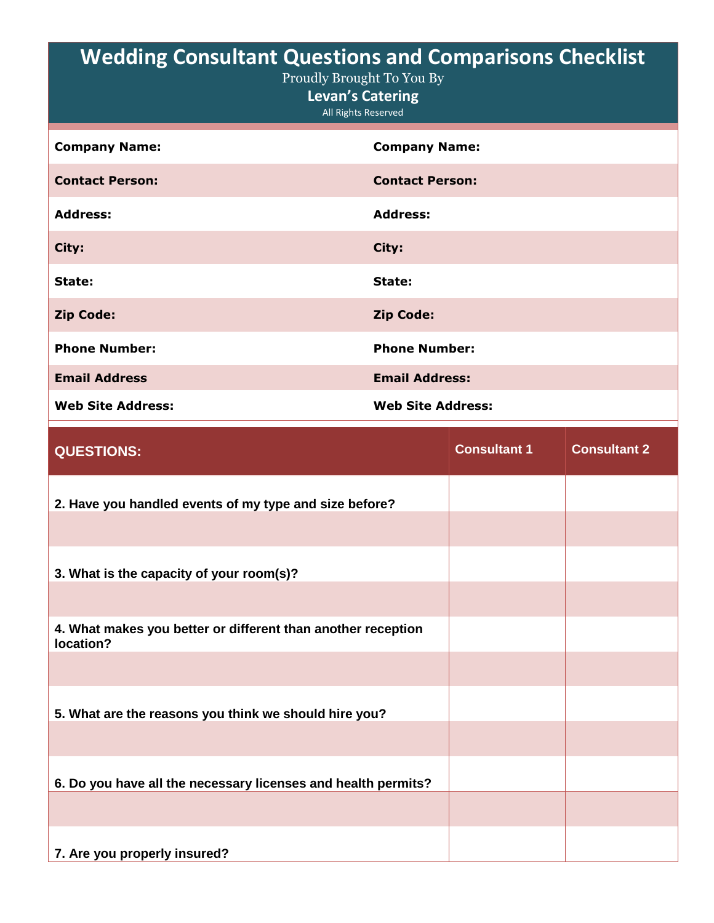| <b>Wedding Consultant Questions and Comparisons Checklist</b><br>Proudly Brought To You By<br><b>Levan's Catering</b><br>All Rights Reserved |                          |  |
|----------------------------------------------------------------------------------------------------------------------------------------------|--------------------------|--|
| <b>Company Name:</b>                                                                                                                         | <b>Company Name:</b>     |  |
| <b>Contact Person:</b>                                                                                                                       | <b>Contact Person:</b>   |  |
| <b>Address:</b>                                                                                                                              | <b>Address:</b>          |  |
| City:                                                                                                                                        | City:                    |  |
| State:                                                                                                                                       | State:                   |  |
| <b>Zip Code:</b>                                                                                                                             | <b>Zip Code:</b>         |  |
| <b>Phone Number:</b>                                                                                                                         | <b>Phone Number:</b>     |  |
| <b>Email Address</b>                                                                                                                         | <b>Email Address:</b>    |  |
| <b>Web Site Address:</b>                                                                                                                     | <b>Web Site Address:</b> |  |

| <b>QUESTIONS:</b>                                                         | <b>Consultant 1</b> | <b>Consultant 2</b> |
|---------------------------------------------------------------------------|---------------------|---------------------|
| 2. Have you handled events of my type and size before?                    |                     |                     |
|                                                                           |                     |                     |
| 3. What is the capacity of your room(s)?                                  |                     |                     |
|                                                                           |                     |                     |
| 4. What makes you better or different than another reception<br>location? |                     |                     |
|                                                                           |                     |                     |
| 5. What are the reasons you think we should hire you?                     |                     |                     |
|                                                                           |                     |                     |
| 6. Do you have all the necessary licenses and health permits?             |                     |                     |
|                                                                           |                     |                     |
| 7. Are you properly insured?                                              |                     |                     |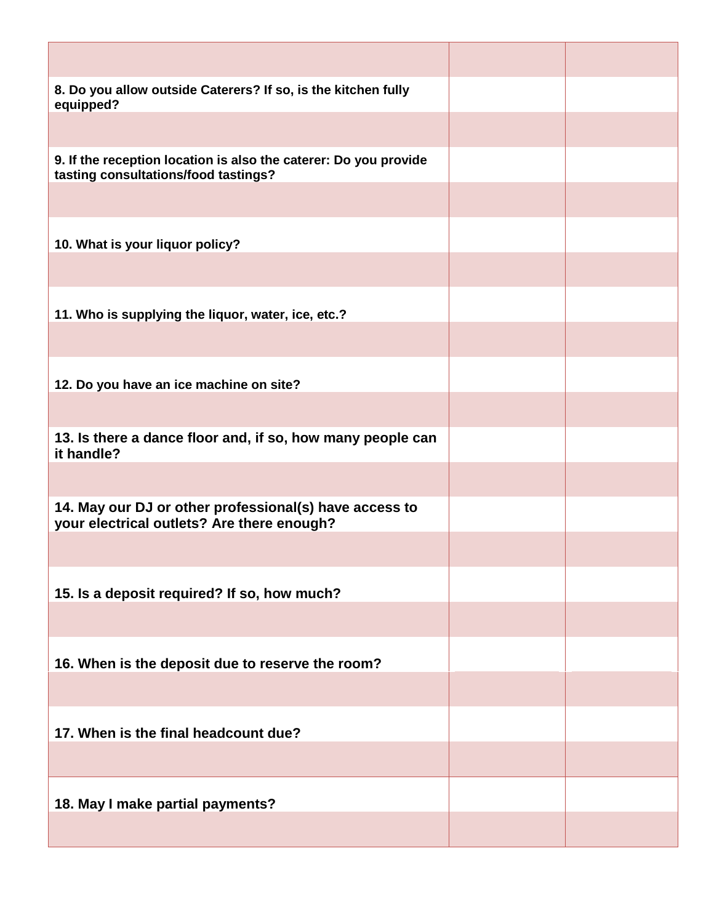| 8. Do you allow outside Caterers? If so, is the kitchen fully<br>equipped?                               |  |
|----------------------------------------------------------------------------------------------------------|--|
|                                                                                                          |  |
| 9. If the reception location is also the caterer: Do you provide<br>tasting consultations/food tastings? |  |
|                                                                                                          |  |
| 10. What is your liquor policy?                                                                          |  |
|                                                                                                          |  |
| 11. Who is supplying the liquor, water, ice, etc.?                                                       |  |
|                                                                                                          |  |
| 12. Do you have an ice machine on site?                                                                  |  |
|                                                                                                          |  |
| 13. Is there a dance floor and, if so, how many people can<br>it handle?                                 |  |
|                                                                                                          |  |
| 14. May our DJ or other professional(s) have access to<br>your electrical outlets? Are there enough?     |  |
|                                                                                                          |  |
| 15. Is a deposit required? If so, how much?                                                              |  |
|                                                                                                          |  |
| 16. When is the deposit due to reserve the room?                                                         |  |
|                                                                                                          |  |
| 17. When is the final headcount due?                                                                     |  |
|                                                                                                          |  |
| 18. May I make partial payments?                                                                         |  |
|                                                                                                          |  |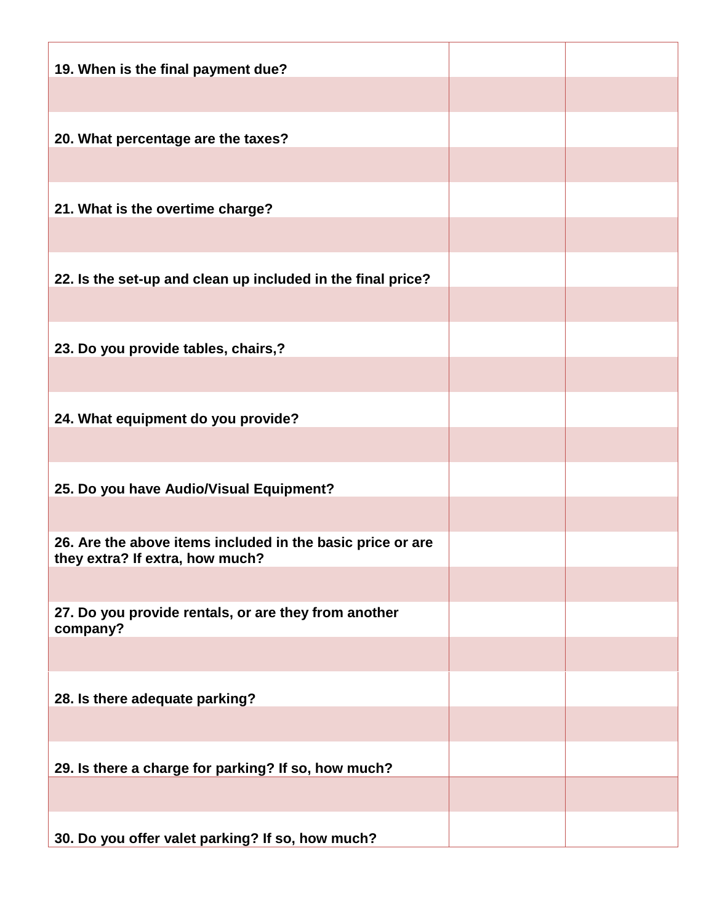| 19. When is the final payment due?                                                            |  |
|-----------------------------------------------------------------------------------------------|--|
|                                                                                               |  |
| 20. What percentage are the taxes?                                                            |  |
|                                                                                               |  |
| 21. What is the overtime charge?                                                              |  |
|                                                                                               |  |
| 22. Is the set-up and clean up included in the final price?                                   |  |
|                                                                                               |  |
| 23. Do you provide tables, chairs,?                                                           |  |
|                                                                                               |  |
| 24. What equipment do you provide?                                                            |  |
|                                                                                               |  |
| 25. Do you have Audio/Visual Equipment?                                                       |  |
|                                                                                               |  |
| 26. Are the above items included in the basic price or are<br>they extra? If extra, how much? |  |
|                                                                                               |  |
| 27. Do you provide rentals, or are they from another<br>company?                              |  |
|                                                                                               |  |
| 28. Is there adequate parking?                                                                |  |
|                                                                                               |  |
| 29. Is there a charge for parking? If so, how much?                                           |  |
|                                                                                               |  |
| 30. Do you offer valet parking? If so, how much?                                              |  |